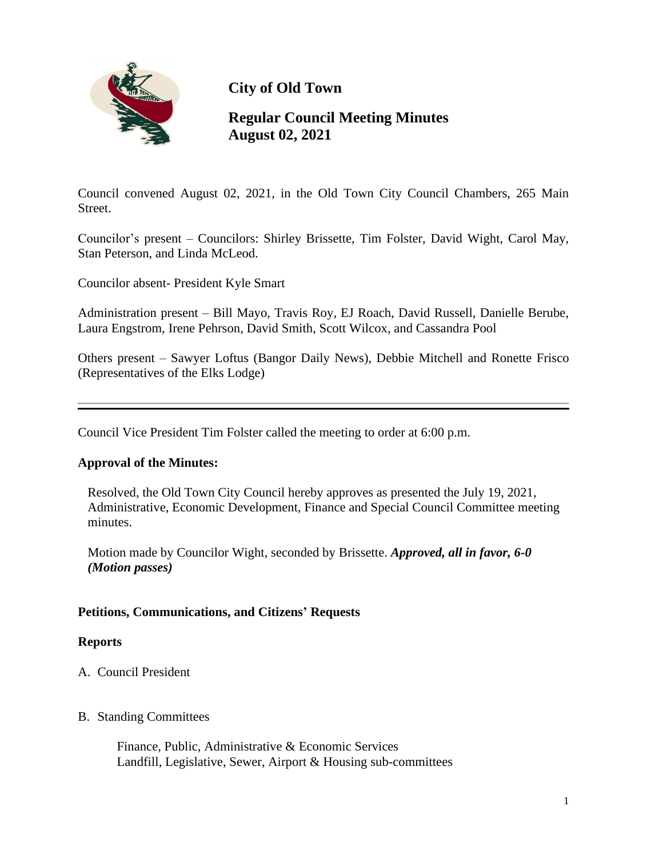

**City of Old Town**

# **Regular Council Meeting Minutes August 02, 2021**

Council convened August 02, 2021, in the Old Town City Council Chambers, 265 Main Street.

Councilor's present – Councilors: Shirley Brissette, Tim Folster, David Wight, Carol May, Stan Peterson, and Linda McLeod.

Councilor absent- President Kyle Smart

Administration present – Bill Mayo, Travis Roy, EJ Roach, David Russell, Danielle Berube, Laura Engstrom, Irene Pehrson, David Smith, Scott Wilcox, and Cassandra Pool

Others present – Sawyer Loftus (Bangor Daily News), Debbie Mitchell and Ronette Frisco (Representatives of the Elks Lodge)

Council Vice President Tim Folster called the meeting to order at 6:00 p.m.

### **Approval of the Minutes:**

Resolved, the Old Town City Council hereby approves as presented the July 19, 2021, Administrative, Economic Development, Finance and Special Council Committee meeting minutes.

Motion made by Councilor Wight, seconded by Brissette. *Approved, all in favor, 6-0 (Motion passes)*

### **Petitions, Communications, and Citizens' Requests**

### **Reports**

A. Council President

### B. Standing Committees

 Finance, Public, Administrative & Economic Services Landfill, Legislative, Sewer, Airport & Housing sub-committees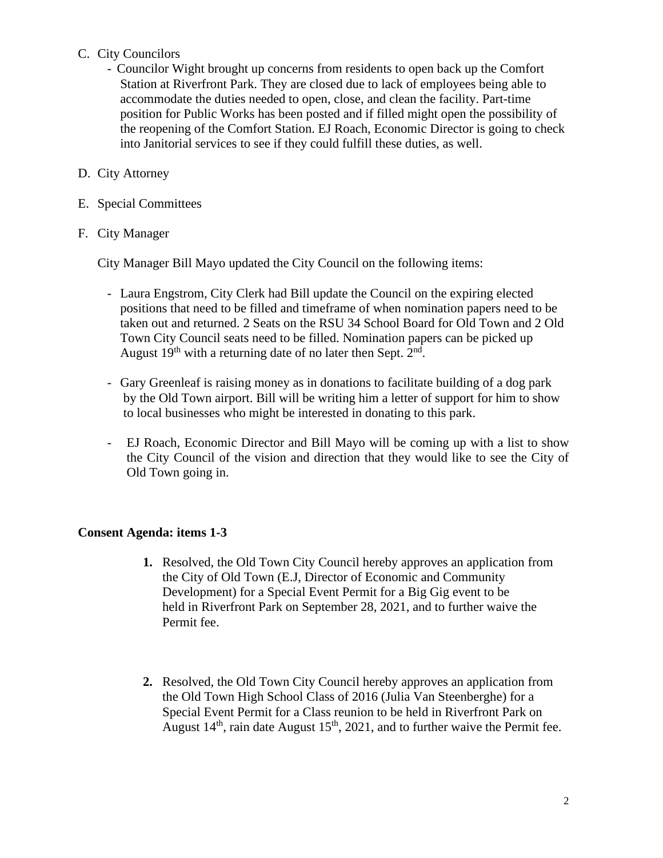## C. City Councilors

- Councilor Wight brought up concerns from residents to open back up the Comfort Station at Riverfront Park. They are closed due to lack of employees being able to accommodate the duties needed to open, close, and clean the facility. Part-time position for Public Works has been posted and if filled might open the possibility of the reopening of the Comfort Station. EJ Roach, Economic Director is going to check into Janitorial services to see if they could fulfill these duties, as well.
- D. City Attorney
- E. Special Committees

### F. City Manager

City Manager Bill Mayo updated the City Council on the following items:

- Laura Engstrom, City Clerk had Bill update the Council on the expiring elected positions that need to be filled and timeframe of when nomination papers need to be taken out and returned. 2 Seats on the RSU 34 School Board for Old Town and 2 Old Town City Council seats need to be filled. Nomination papers can be picked up August  $19<sup>th</sup>$  with a returning date of no later then Sept.  $2<sup>nd</sup>$ .
- Gary Greenleaf is raising money as in donations to facilitate building of a dog park by the Old Town airport. Bill will be writing him a letter of support for him to show to local businesses who might be interested in donating to this park.
- EJ Roach, Economic Director and Bill Mayo will be coming up with a list to show the City Council of the vision and direction that they would like to see the City of Old Town going in.

### **Consent Agenda: items 1-3**

- **1.** Resolved, the Old Town City Council hereby approves an application from the City of Old Town (E.J, Director of Economic and Community Development) for a Special Event Permit for a Big Gig event to be held in Riverfront Park on September 28, 2021, and to further waive the Permit fee.
- **2.** Resolved, the Old Town City Council hereby approves an application from the Old Town High School Class of 2016 (Julia Van Steenberghe) for a Special Event Permit for a Class reunion to be held in Riverfront Park on August  $14<sup>th</sup>$ , rain date August  $15<sup>th</sup>$ , 2021, and to further waive the Permit fee.